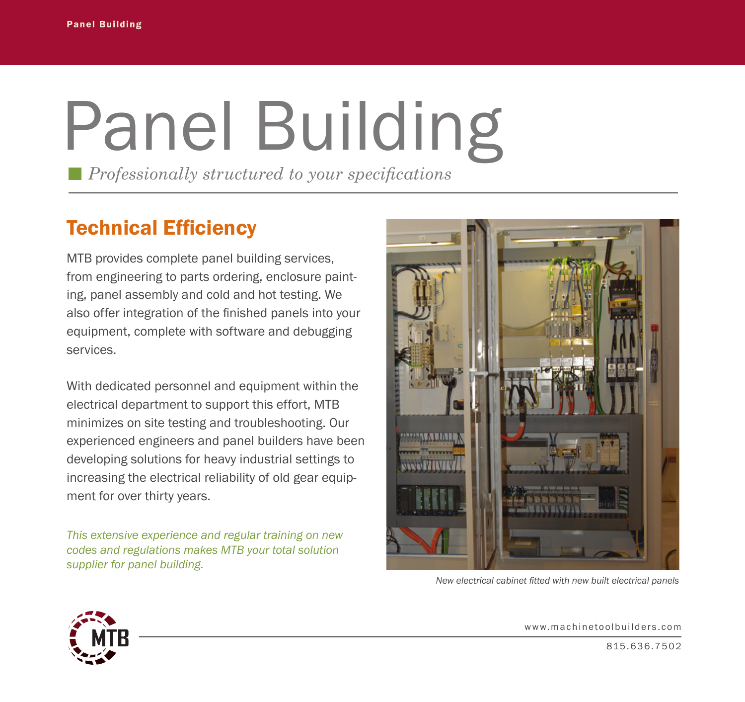## Panel Building

*Professionally structured to your specifications*

## Technical Efficiency

MTB provides complete panel building services, from engineering to parts ordering, enclosure painting, panel assembly and cold and hot testing. We also offer integration of the finished panels into your equipment, complete with software and debugging services.

With dedicated personnel and equipment within the electrical department to support this effort, MTB minimizes on site testing and troubleshooting. Our experienced engineers and panel builders have been developing solutions for heavy industrial settings to increasing the electrical reliability of old gear equipment for over thirty years.

*This extensive experience and regular training on new codes and regulations makes MTB your total solution supplier for panel building.*



*New electrical cabinet fitted with new built electrical panels*



www.machinetoolbuilders.com